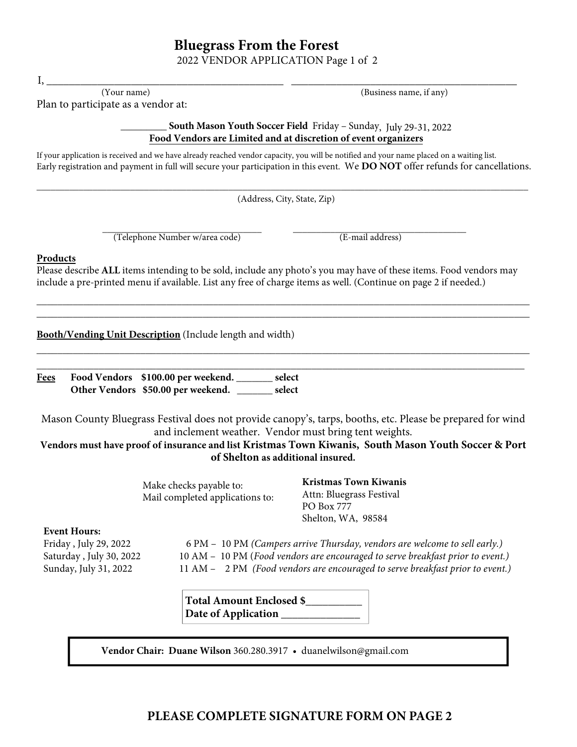## **Bluegrass From the Forest**

2022 VENDOR APPLICATION Page 1 of 2

**Food Vendors are Limited and at discretion of event organizers**

South Mason Youth Soccer Field Friday – Sunday, July 29-31, 2022

If your application is received and we have already reached vendor capacity, you will be notified and your name placed on a waiting list. Early registration and payment in full will secure your participation in this event. We **DO NOT** offer refunds for cancellations. \_\_\_\_\_\_\_\_\_\_\_\_\_\_\_\_\_\_\_\_\_\_\_\_\_\_\_\_\_\_\_\_\_\_\_\_\_\_\_\_\_\_\_\_\_\_\_\_\_\_\_\_\_\_\_\_\_\_\_\_\_\_\_\_\_\_\_\_\_\_\_\_\_\_\_\_\_\_\_\_\_\_\_\_\_\_\_\_\_\_\_\_\_\_\_\_\_\_\_\_\_\_\_\_\_ (Address, City, State, Zip) \_\_\_\_\_\_\_\_\_\_\_\_\_\_\_\_\_\_\_\_\_\_\_\_\_\_\_\_\_\_\_\_\_\_ \_\_\_\_\_\_\_\_\_\_\_\_\_\_\_\_\_\_\_\_\_\_\_\_\_\_\_\_\_\_\_\_\_\_\_\_\_ (Telephone Number w/area code) (E-mail address) **Products**  Please describe **ALL** items intending to be sold, include any photo's you may have of these items. Food vendors may include a pre-printed menu if available. List any free of charge items as well. (Continue on page 2 if needed.) \_\_\_\_\_\_\_\_\_\_\_\_\_\_\_\_\_\_\_\_\_\_\_\_\_\_\_\_\_\_\_\_\_\_\_\_\_\_\_\_\_\_\_\_\_\_\_\_\_\_\_\_\_\_\_\_\_\_\_\_\_\_\_\_\_\_\_\_\_\_\_\_\_\_\_\_\_\_\_\_\_\_\_\_\_\_\_\_\_\_\_\_\_\_\_ \_\_\_\_\_\_\_\_\_\_\_\_\_\_\_\_\_\_\_\_\_\_\_\_\_\_\_\_\_\_\_\_\_\_\_\_\_\_\_\_\_\_\_\_\_\_\_\_\_\_\_\_\_\_\_\_\_\_\_\_\_\_\_\_\_\_\_\_\_\_\_\_\_\_\_\_\_\_\_\_\_\_\_\_\_\_\_\_\_\_\_\_\_\_\_ **Booth/Vending Unit Description** (Include length and width) \_\_\_\_\_\_\_\_\_\_\_\_\_\_\_\_\_\_\_\_\_\_\_\_\_\_\_\_\_\_\_\_\_\_\_\_\_\_\_\_\_\_\_\_\_\_\_\_\_\_\_\_\_\_\_\_\_\_\_\_\_\_\_\_\_\_\_\_\_\_\_\_\_\_\_\_\_\_\_\_\_\_\_\_\_\_\_\_\_\_\_\_\_\_\_ \_\_\_\_\_\_\_\_\_\_\_\_\_\_\_\_\_\_\_\_\_\_\_\_\_\_\_\_\_\_\_\_\_\_\_\_\_\_\_\_\_\_\_\_\_\_\_\_\_\_\_\_\_\_\_\_\_\_\_\_\_\_\_\_\_\_\_\_\_\_\_\_\_\_\_\_\_\_\_\_\_\_\_\_\_\_\_\_\_\_\_\_\_\_ **Fees Food Vendors \$100.00 per weekend. \_\_\_\_\_\_\_ select Other Vendors \$50.00 per weekend. \_\_\_\_\_\_\_ select**  Mason County Bluegrass Festival does not provide canopy's, tarps, booths, etc. Please be prepared for wind and inclement weather. Vendor must bring tent weights. **Vendors must have proof of insurance and list Kristmas Town Kiwanis, South Mason Youth Soccer & Port of Shelton as additional insured.**  Make checks payable to: Mail completed applications to: **Kristmas Town Kiwanis**  Attn: Bluegrass Festival PO Box 777 Shelton, WA, 98584 **Total Amount Enclosed \$\_\_\_\_\_\_\_\_\_\_**  Date of Application \_\_\_\_\_\_\_ **Vendor Chair: Duane Wilson** 360.280.3917 • duanelwilson@gmail.com **Event Hours:** Friday , July 29, 2022 6 PM – 10 PM *(Campers arrive Thursday, vendors are welcome to sell early.)* Saturday , July 30, 2022 10 AM – 10 PM (*Food vendors are encouraged to serve breakfast prior to event.)* Sunday, July 31, 2022 11 AM – 2 PM *(Food vendors are encouraged to serve breakfast prior to event.)*

## I, \_\_\_\_\_\_\_\_\_\_\_\_\_\_\_\_\_\_\_\_\_\_\_\_\_\_\_\_\_\_\_\_\_\_\_\_\_\_\_\_\_\_ \_\_\_\_\_\_\_\_\_\_\_\_\_\_\_\_\_\_\_\_\_\_\_\_\_\_\_\_\_\_\_\_\_\_\_\_\_\_\_\_ (Your name) (Business name, if any) Plan to participate as a vendor at:

**PLEASE COMPLETE SIGNATURE FORM ON PAGE 2**